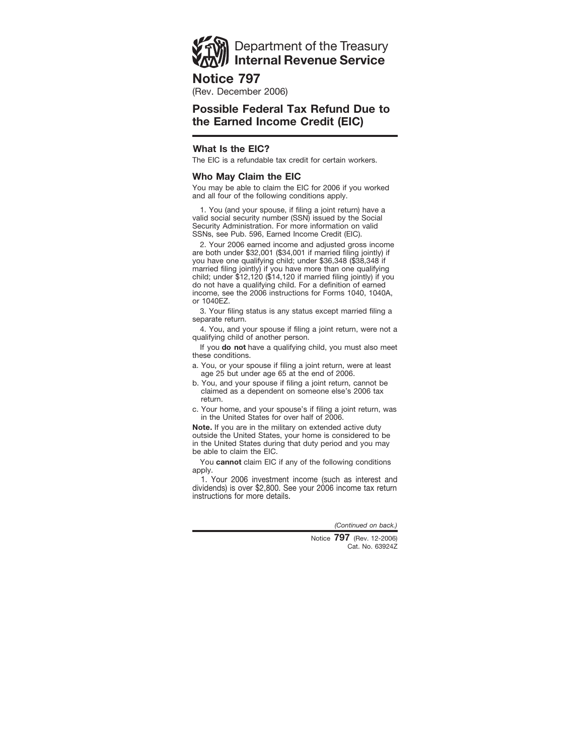

## **Notice 797**

(Rev. December 2006)

# **Possible Federal Tax Refund Due to the Earned Income Credit (EIC)**

## **What Is the EIC?**

The EIC is a refundable tax credit for certain workers.

## **Who May Claim the EIC**

You may be able to claim the EIC for 2006 if you worked and all four of the following conditions apply.

1. You (and your spouse, if filing a joint return) have a valid social security number (SSN) issued by the Social Security Administration. For more information on valid SSNs, see Pub. 596, Earned Income Credit (EIC).

2. Your 2006 earned income and adjusted gross income are both under \$32,001 (\$34,001 if married filing jointly) if you have one qualifying child; under \$36,348 (\$38,348 if married filing jointly) if you have more than one qualifying child; under \$12,120 (\$14,120 if married filing jointly) if you do not have a qualifying child. For a definition of earned income, see the 2006 instructions for Forms 1040, 1040A, or 1040EZ.

3. Your filing status is any status except married filing a separate return.

4. You, and your spouse if filing a joint return, were not a qualifying child of another person.

If you **do not** have a qualifying child, you must also meet these conditions.

- a. You, or your spouse if filing a joint return, were at least age 25 but under age 65 at the end of 2006.
- b. You, and your spouse if filing a joint return, cannot be claimed as a dependent on someone else's 2006 tax return.
- c. Your home, and your spouse's if filing a joint return, was in the United States for over half of 2006.

**Note.** If you are in the military on extended active duty outside the United States, your home is considered to be in the United States during that duty period and you may be able to claim the EIC.

You **cannot** claim EIC if any of the following conditions apply.

1. Your 2006 investment income (such as interest and dividends) is over \$2,800. See your 2006 income tax return instructions for more details.

*(Continued on back.)*

Cat. No. 63924Z Notice **797** (Rev. 12-2006)